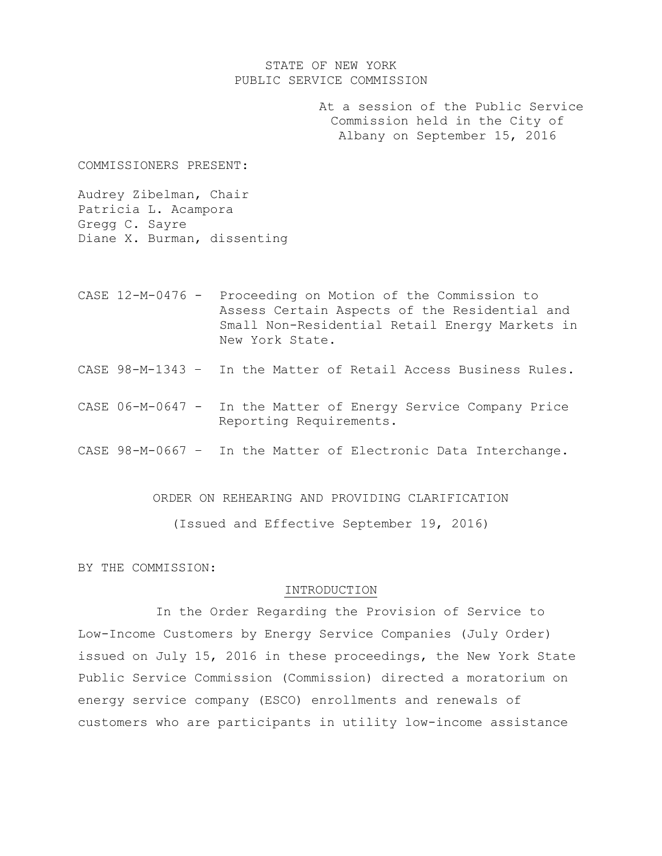## STATE OF NEW YORK PUBLIC SERVICE COMMISSION

At a session of the Public Service Commission held in the City of Albany on September 15, 2016

COMMISSIONERS PRESENT:

Audrey Zibelman, Chair Patricia L. Acampora Gregg C. Sayre Diane X. Burman, dissenting

- CASE 12-M-0476 Proceeding on Motion of the Commission to Assess Certain Aspects of the Residential and Small Non-Residential Retail Energy Markets in New York State.
- CASE 98-M-1343 In the Matter of Retail Access Business Rules.
- CASE 06-M-0647 In the Matter of Energy Service Company Price Reporting Requirements.
- CASE 98-M-0667 In the Matter of Electronic Data Interchange.

ORDER ON REHEARING AND PROVIDING CLARIFICATION

(Issued and Effective September 19, 2016)

BY THE COMMISSION:

#### INTRODUCTION

In the Order Regarding the Provision of Service to Low-Income Customers by Energy Service Companies (July Order) issued on July 15, 2016 in these proceedings, the New York State Public Service Commission (Commission) directed a moratorium on energy service company (ESCO) enrollments and renewals of customers who are participants in utility low-income assistance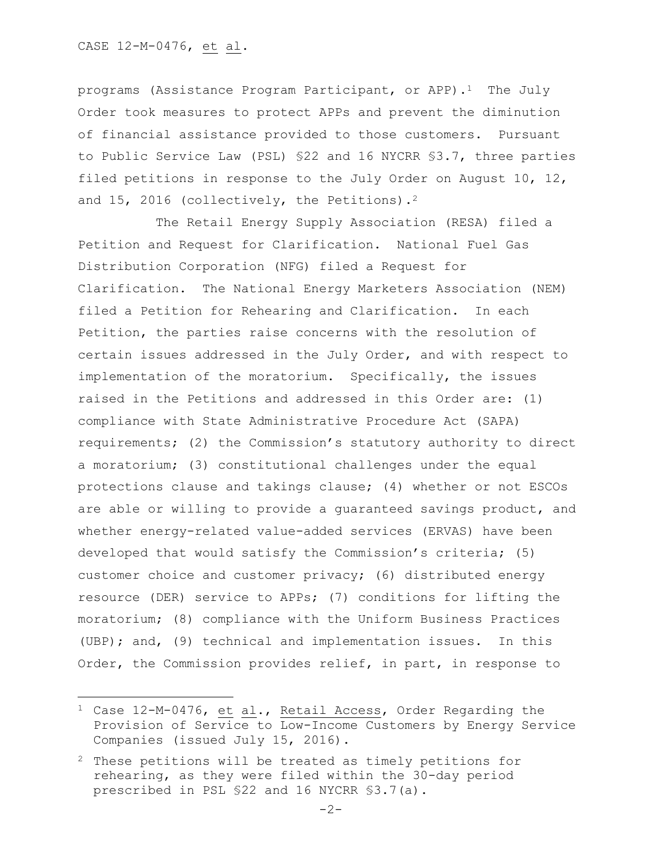#### CASE 12-M-0476, et al.

 $\overline{\phantom{a}}$ 

programs (Assistance Program Participant, or APP).<sup>1</sup> The July Order took measures to protect APPs and prevent the diminution of financial assistance provided to those customers. Pursuant to Public Service Law (PSL) §22 and 16 NYCRR §3.7, three parties filed petitions in response to the July Order on August 10, 12, and 15, 2016 (collectively, the Petitions).<sup>2</sup>

The Retail Energy Supply Association (RESA) filed a Petition and Request for Clarification. National Fuel Gas Distribution Corporation (NFG) filed a Request for Clarification. The National Energy Marketers Association (NEM) filed a Petition for Rehearing and Clarification. In each Petition, the parties raise concerns with the resolution of certain issues addressed in the July Order, and with respect to implementation of the moratorium. Specifically, the issues raised in the Petitions and addressed in this Order are: (1) compliance with State Administrative Procedure Act (SAPA) requirements; (2) the Commission's statutory authority to direct a moratorium; (3) constitutional challenges under the equal protections clause and takings clause; (4) whether or not ESCOs are able or willing to provide a guaranteed savings product, and whether energy-related value-added services (ERVAS) have been developed that would satisfy the Commission's criteria; (5) customer choice and customer privacy; (6) distributed energy resource (DER) service to APPs; (7) conditions for lifting the moratorium; (8) compliance with the Uniform Business Practices (UBP); and, (9) technical and implementation issues. In this Order, the Commission provides relief, in part, in response to

 $1$  Case 12-M-0476, et al., Retail Access, Order Regarding the Provision of Service to Low-Income Customers by Energy Service Companies (issued July 15, 2016).

<sup>2</sup> These petitions will be treated as timely petitions for rehearing, as they were filed within the 30-day period prescribed in PSL §22 and 16 NYCRR §3.7(a).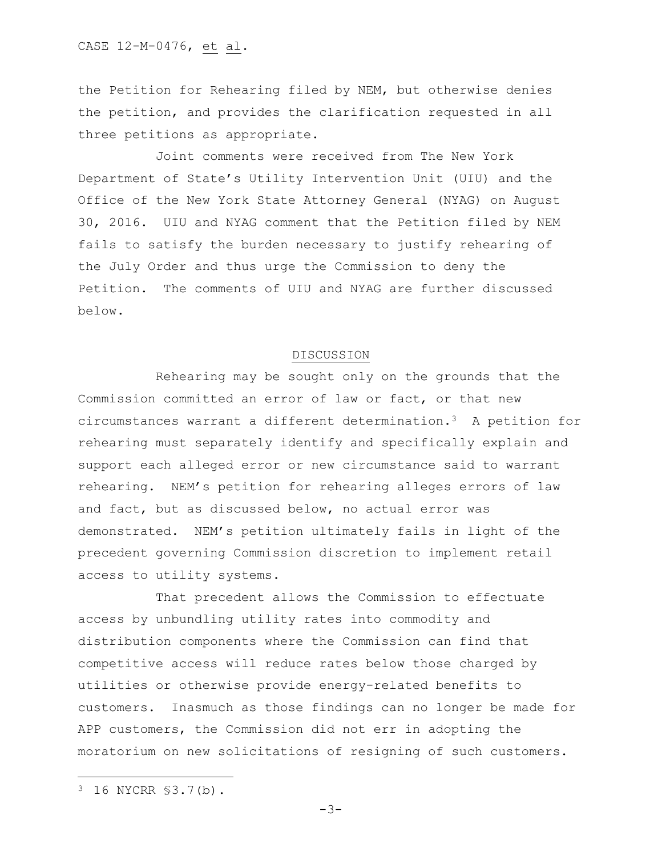the Petition for Rehearing filed by NEM, but otherwise denies the petition, and provides the clarification requested in all three petitions as appropriate.

Joint comments were received from The New York Department of State's Utility Intervention Unit (UIU) and the Office of the New York State Attorney General (NYAG) on August 30, 2016. UIU and NYAG comment that the Petition filed by NEM fails to satisfy the burden necessary to justify rehearing of the July Order and thus urge the Commission to deny the Petition. The comments of UIU and NYAG are further discussed below.

#### DISCUSSION

Rehearing may be sought only on the grounds that the Commission committed an error of law or fact, or that new circumstances warrant a different determination.3 A petition for rehearing must separately identify and specifically explain and support each alleged error or new circumstance said to warrant rehearing. NEM's petition for rehearing alleges errors of law and fact, but as discussed below, no actual error was demonstrated. NEM's petition ultimately fails in light of the precedent governing Commission discretion to implement retail access to utility systems.

That precedent allows the Commission to effectuate access by unbundling utility rates into commodity and distribution components where the Commission can find that competitive access will reduce rates below those charged by utilities or otherwise provide energy-related benefits to customers. Inasmuch as those findings can no longer be made for APP customers, the Commission did not err in adopting the moratorium on new solicitations of resigning of such customers.

 $\overline{a}$ 

<sup>3</sup> 16 NYCRR §3.7(b).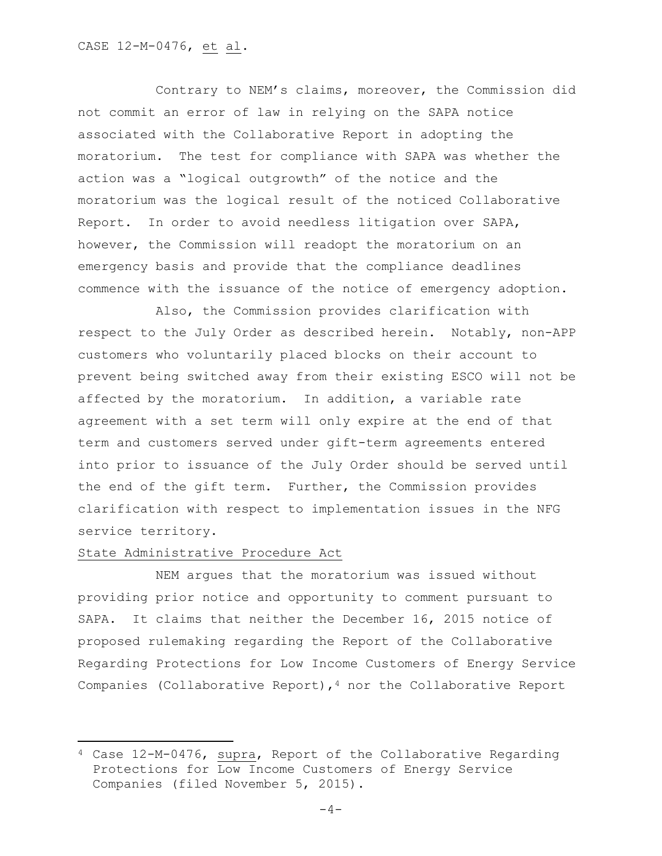Contrary to NEM's claims, moreover, the Commission did not commit an error of law in relying on the SAPA notice associated with the Collaborative Report in adopting the moratorium. The test for compliance with SAPA was whether the action was a "logical outgrowth" of the notice and the moratorium was the logical result of the noticed Collaborative Report. In order to avoid needless litigation over SAPA, however, the Commission will readopt the moratorium on an emergency basis and provide that the compliance deadlines commence with the issuance of the notice of emergency adoption.

Also, the Commission provides clarification with respect to the July Order as described herein. Notably, non-APP customers who voluntarily placed blocks on their account to prevent being switched away from their existing ESCO will not be affected by the moratorium. In addition, a variable rate agreement with a set term will only expire at the end of that term and customers served under gift-term agreements entered into prior to issuance of the July Order should be served until the end of the gift term. Further, the Commission provides clarification with respect to implementation issues in the NFG service territory.

## State Administrative Procedure Act

 $\overline{\phantom{a}}$ 

NEM argues that the moratorium was issued without providing prior notice and opportunity to comment pursuant to SAPA. It claims that neither the December 16, 2015 notice of proposed rulemaking regarding the Report of the Collaborative Regarding Protections for Low Income Customers of Energy Service Companies (Collaborative Report),  $4$  nor the Collaborative Report

<sup>4</sup> Case 12-M-0476, supra, Report of the Collaborative Regarding Protections for Low Income Customers of Energy Service Companies (filed November 5, 2015).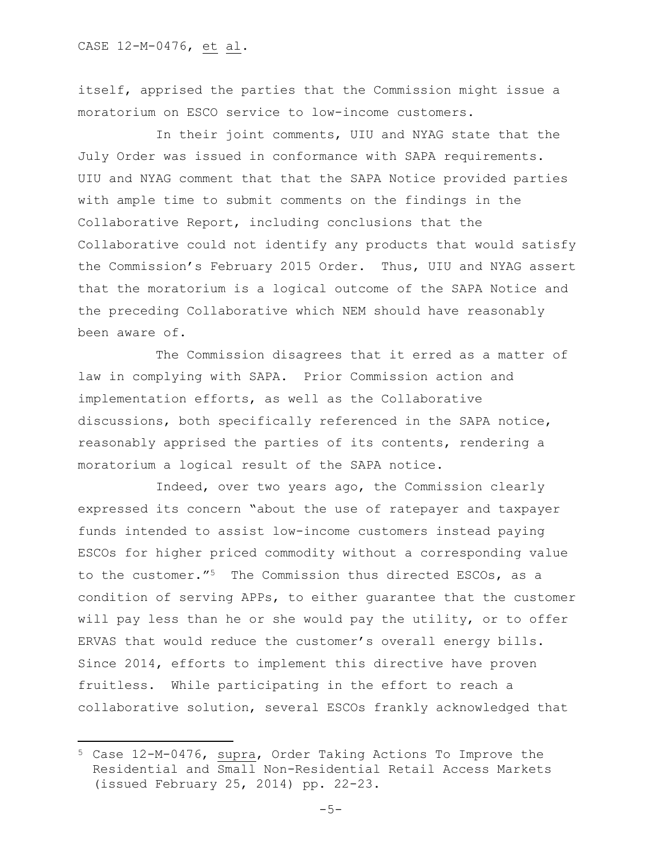$\overline{\phantom{a}}$ 

itself, apprised the parties that the Commission might issue a moratorium on ESCO service to low-income customers.

In their joint comments, UIU and NYAG state that the July Order was issued in conformance with SAPA requirements. UIU and NYAG comment that that the SAPA Notice provided parties with ample time to submit comments on the findings in the Collaborative Report, including conclusions that the Collaborative could not identify any products that would satisfy the Commission's February 2015 Order. Thus, UIU and NYAG assert that the moratorium is a logical outcome of the SAPA Notice and the preceding Collaborative which NEM should have reasonably been aware of.

The Commission disagrees that it erred as a matter of law in complying with SAPA. Prior Commission action and implementation efforts, as well as the Collaborative discussions, both specifically referenced in the SAPA notice, reasonably apprised the parties of its contents, rendering a moratorium a logical result of the SAPA notice.

Indeed, over two years ago, the Commission clearly expressed its concern "about the use of ratepayer and taxpayer funds intended to assist low-income customers instead paying ESCOs for higher priced commodity without a corresponding value to the customer."5 The Commission thus directed ESCOs, as a condition of serving APPs, to either guarantee that the customer will pay less than he or she would pay the utility, or to offer ERVAS that would reduce the customer's overall energy bills. Since 2014, efforts to implement this directive have proven fruitless. While participating in the effort to reach a collaborative solution, several ESCOs frankly acknowledged that

<sup>5</sup> Case 12-M-0476, supra, Order Taking Actions To Improve the Residential and Small Non-Residential Retail Access Markets (issued February 25, 2014) pp. 22-23.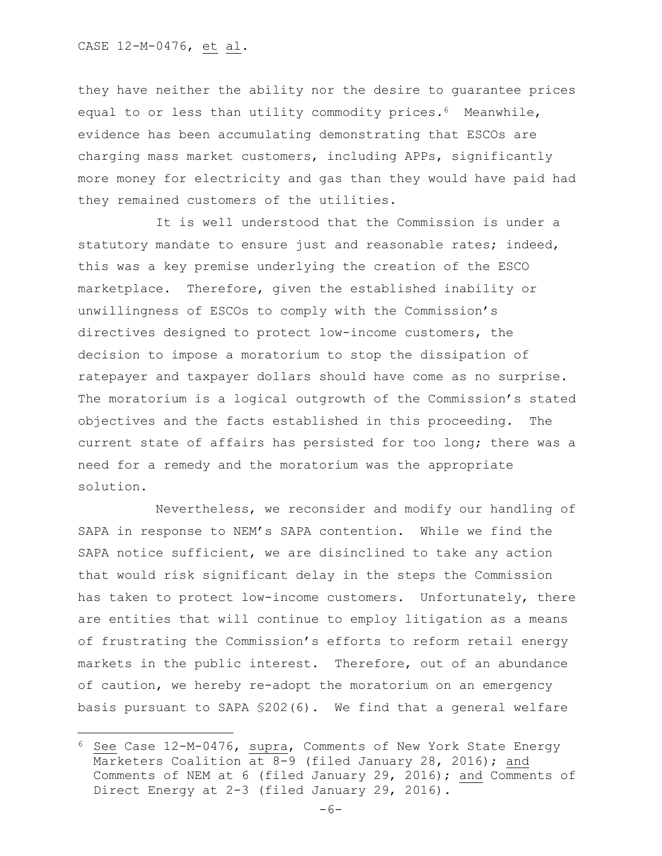l

they have neither the ability nor the desire to guarantee prices equal to or less than utility commodity prices.<sup>6</sup> Meanwhile, evidence has been accumulating demonstrating that ESCOs are charging mass market customers, including APPs, significantly more money for electricity and gas than they would have paid had they remained customers of the utilities.

It is well understood that the Commission is under a statutory mandate to ensure just and reasonable rates; indeed, this was a key premise underlying the creation of the ESCO marketplace. Therefore, given the established inability or unwillingness of ESCOs to comply with the Commission's directives designed to protect low-income customers, the decision to impose a moratorium to stop the dissipation of ratepayer and taxpayer dollars should have come as no surprise. The moratorium is a logical outgrowth of the Commission's stated objectives and the facts established in this proceeding. The current state of affairs has persisted for too long; there was a need for a remedy and the moratorium was the appropriate solution.

Nevertheless, we reconsider and modify our handling of SAPA in response to NEM's SAPA contention. While we find the SAPA notice sufficient, we are disinclined to take any action that would risk significant delay in the steps the Commission has taken to protect low-income customers. Unfortunately, there are entities that will continue to employ litigation as a means of frustrating the Commission's efforts to reform retail energy markets in the public interest. Therefore, out of an abundance of caution, we hereby re-adopt the moratorium on an emergency basis pursuant to SAPA §202(6). We find that a general welfare

 $6$  See Case  $12-M-0476$ , supra, Comments of New York State Energy Marketers Coalition at 8-9 (filed January 28, 2016); and Comments of NEM at 6 (filed January 29, 2016); and Comments of Direct Energy at 2-3 (filed January 29, 2016).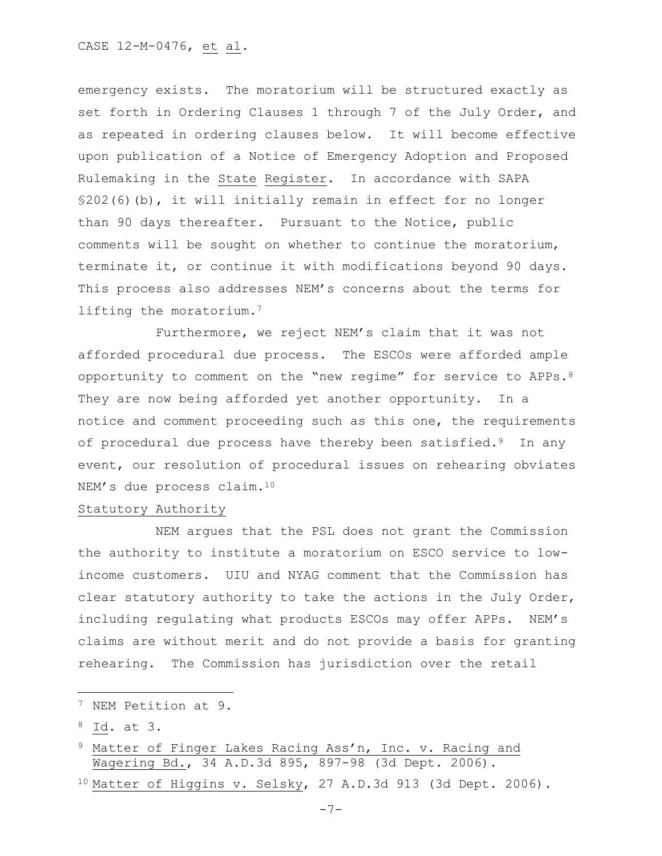emergency exists. The moratorium will be structured exactly as set forth in Ordering Clauses 1 through 7 of the July Order, and as repeated in ordering clauses below. It will become effective upon publication of a Notice of Emergency Adoption and Proposed Rulemaking in the State Register. In accordance with SAPA §202(6)(b), it will initially remain in effect for no longer than 90 days thereafter. Pursuant to the Notice, public comments will be sought on whether to continue the moratorium, terminate it, or continue it with modifications beyond 90 days. This process also addresses NEM's concerns about the terms for lifting the moratorium.<sup>7</sup>

Furthermore, we reject NEM's claim that it was not afforded procedural due process. The ESCOs were afforded ample opportunity to comment on the "new regime" for service to APPs.<sup>8</sup> They are now being afforded yet another opportunity. In a notice and comment proceeding such as this one, the requirements of procedural due process have thereby been satisfied.<sup>9</sup> In any event, our resolution of procedural issues on rehearing obviates NEM's due process claim.<sup>10</sup>

## Statutory Authority

NEM argues that the PSL does not grant the Commission the authority to institute a moratorium on ESCO service to lowincome customers. UIU and NYAG comment that the Commission has clear statutory authority to take the actions in the July Order, including regulating what products ESCOs may offer APPs. NEM's claims are without merit and do not provide a basis for granting rehearing. The Commission has jurisdiction over the retail

 $\overline{a}$ 

<sup>7</sup> NEM Petition at 9.

<sup>8</sup> Id. at 3.

<sup>&</sup>lt;sup>9</sup> Matter of Finger Lakes Racing Ass'n, Inc. v. Racing and Wagering Bd., 34 A.D.3d 895, 897-98 (3d Dept. 2006).

<sup>10</sup> Matter of Higgins v. Selsky, 27 A.D.3d 913 (3d Dept. 2006).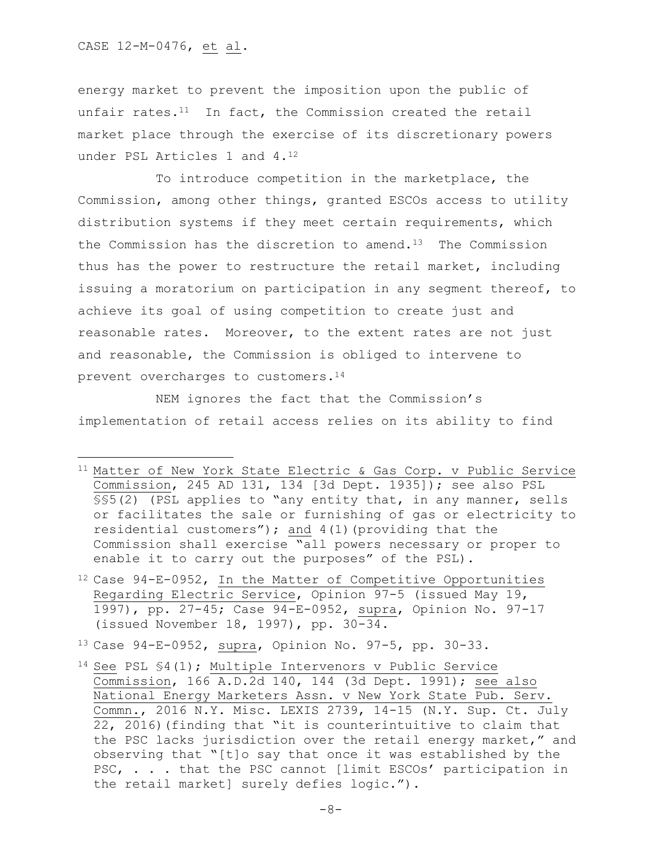CASE 12-M-0476, et al.

 $\overline{\phantom{a}}$ 

energy market to prevent the imposition upon the public of unfair rates. $11$  In fact, the Commission created the retail market place through the exercise of its discretionary powers under PSL Articles 1 and 4.<sup>12</sup>

To introduce competition in the marketplace, the Commission, among other things, granted ESCOs access to utility distribution systems if they meet certain requirements, which the Commission has the discretion to amend.<sup>13</sup> The Commission thus has the power to restructure the retail market, including issuing a moratorium on participation in any segment thereof, to achieve its goal of using competition to create just and reasonable rates. Moreover, to the extent rates are not just and reasonable, the Commission is obliged to intervene to prevent overcharges to customers.<sup>14</sup>

NEM ignores the fact that the Commission's implementation of retail access relies on its ability to find

<sup>12</sup> Case 94-E-0952, In the Matter of Competitive Opportunities Regarding Electric Service, Opinion 97-5 (issued May 19, 1997), pp. 27-45; Case 94-E-0952, supra, Opinion No. 97-17 (issued November 18, 1997), pp. 30-34.

<sup>13</sup> Case 94-E-0952, supra, Opinion No. 97-5, pp. 30-33.

<sup>11</sup> Matter of New York State Electric & Gas Corp. v Public Service Commission, 245 AD 131, 134 [3d Dept. 1935]); see also PSL §§5(2) (PSL applies to "any entity that, in any manner, sells or facilitates the sale or furnishing of gas or electricity to residential customers"); and  $4(1)$  (providing that the Commission shall exercise "all powers necessary or proper to enable it to carry out the purposes" of the PSL).

<sup>14</sup> See PSL §4(1); Multiple Intervenors v Public Service Commission, 166 A.D.2d 140, 144 (3d Dept. 1991); see also National Energy Marketers Assn. v New York State Pub. Serv. Commn., 2016 N.Y. Misc. LEXIS 2739, 14-15 (N.Y. Sup. Ct. July 22, 2016)(finding that "it is counterintuitive to claim that the PSC lacks jurisdiction over the retail energy market," and observing that "[t]o say that once it was established by the PSC, . . . that the PSC cannot [limit ESCOs' participation in the retail market] surely defies logic.").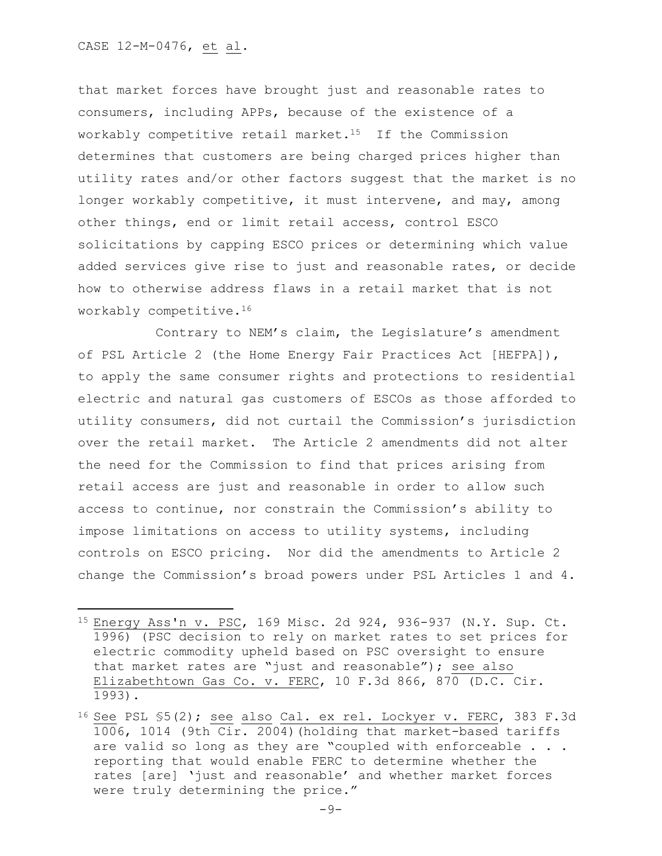l

that market forces have brought just and reasonable rates to consumers, including APPs, because of the existence of a workably competitive retail market.15 If the Commission determines that customers are being charged prices higher than utility rates and/or other factors suggest that the market is no longer workably competitive, it must intervene, and may, among other things, end or limit retail access, control ESCO solicitations by capping ESCO prices or determining which value added services give rise to just and reasonable rates, or decide how to otherwise address flaws in a retail market that is not workably competitive.<sup>16</sup>

Contrary to NEM's claim, the Legislature's amendment of PSL Article 2 (the Home Energy Fair Practices Act [HEFPA]), to apply the same consumer rights and protections to residential electric and natural gas customers of ESCOs as those afforded to utility consumers, did not curtail the Commission's jurisdiction over the retail market. The Article 2 amendments did not alter the need for the Commission to find that prices arising from retail access are just and reasonable in order to allow such access to continue, nor constrain the Commission's ability to impose limitations on access to utility systems, including controls on ESCO pricing. Nor did the amendments to Article 2 change the Commission's broad powers under PSL Articles 1 and 4.

<sup>15</sup> Energy Ass'n v. PSC, 169 Misc. 2d 924, 936-937 (N.Y. Sup. Ct. 1996) (PSC decision to rely on market rates to set prices for electric commodity upheld based on PSC oversight to ensure that market rates are "just and reasonable"); see also Elizabethtown Gas Co. v. FERC, 10 F.3d 866, 870 (D.C. Cir. 1993).

<sup>&</sup>lt;sup>16</sup> See PSL  $$5(2)$ ; see also Cal. ex rel. Lockyer v. FERC, 383 F.3d 1006, 1014 (9th Cir. 2004)(holding that market-based tariffs are valid so long as they are "coupled with enforceable . . . reporting that would enable FERC to determine whether the rates [are] 'just and reasonable' and whether market forces were truly determining the price."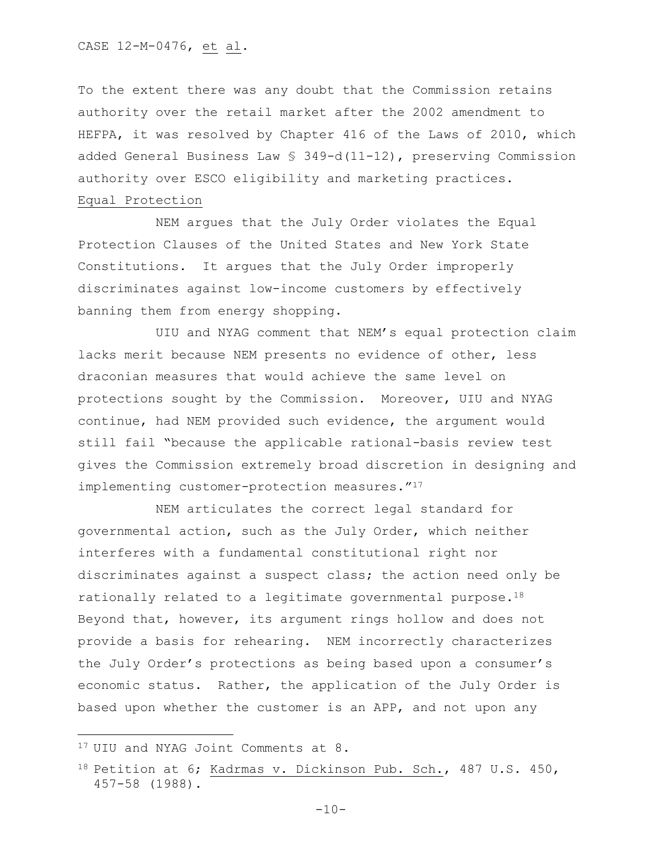To the extent there was any doubt that the Commission retains authority over the retail market after the 2002 amendment to HEFPA, it was resolved by Chapter 416 of the Laws of 2010, which added General Business Law § 349-d(11-12), preserving Commission authority over ESCO eligibility and marketing practices. Equal Protection

NEM argues that the July Order violates the Equal Protection Clauses of the United States and New York State Constitutions. It argues that the July Order improperly discriminates against low-income customers by effectively banning them from energy shopping.

UIU and NYAG comment that NEM's equal protection claim lacks merit because NEM presents no evidence of other, less draconian measures that would achieve the same level on protections sought by the Commission. Moreover, UIU and NYAG continue, had NEM provided such evidence, the argument would still fail "because the applicable rational-basis review test gives the Commission extremely broad discretion in designing and implementing customer-protection measures."<sup>17</sup>

NEM articulates the correct legal standard for governmental action, such as the July Order, which neither interferes with a fundamental constitutional right nor discriminates against a suspect class; the action need only be rationally related to a legitimate governmental purpose.<sup>18</sup> Beyond that, however, its argument rings hollow and does not provide a basis for rehearing. NEM incorrectly characterizes the July Order's protections as being based upon a consumer's economic status. Rather, the application of the July Order is based upon whether the customer is an APP, and not upon any

<sup>&</sup>lt;sup>17</sup> UIU and NYAG Joint Comments at 8.

<sup>18</sup> Petition at 6; Kadrmas v. Dickinson Pub. Sch., 487 U.S. 450, 457-58 (1988).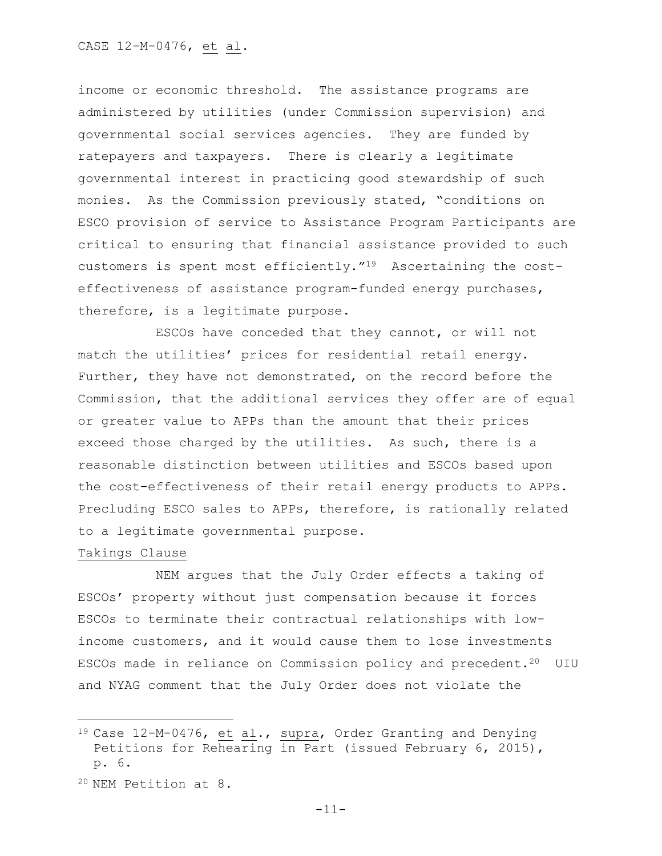income or economic threshold. The assistance programs are administered by utilities (under Commission supervision) and governmental social services agencies. They are funded by ratepayers and taxpayers. There is clearly a legitimate governmental interest in practicing good stewardship of such monies. As the Commission previously stated, "conditions on ESCO provision of service to Assistance Program Participants are critical to ensuring that financial assistance provided to such customers is spent most efficiently."19 Ascertaining the costeffectiveness of assistance program-funded energy purchases, therefore, is a legitimate purpose.

ESCOs have conceded that they cannot, or will not match the utilities' prices for residential retail energy. Further, they have not demonstrated, on the record before the Commission, that the additional services they offer are of equal or greater value to APPs than the amount that their prices exceed those charged by the utilities. As such, there is a reasonable distinction between utilities and ESCOs based upon the cost-effectiveness of their retail energy products to APPs. Precluding ESCO sales to APPs, therefore, is rationally related to a legitimate governmental purpose.

## Takings Clause

l

NEM argues that the July Order effects a taking of ESCOs' property without just compensation because it forces ESCOs to terminate their contractual relationships with lowincome customers, and it would cause them to lose investments ESCOs made in reliance on Commission policy and precedent.<sup>20</sup> UIU and NYAG comment that the July Order does not violate the

<sup>20</sup> NEM Petition at 8.

<sup>19</sup> Case 12-M-0476, et al., supra, Order Granting and Denying Petitions for Rehearing in Part (issued February 6, 2015), p. 6.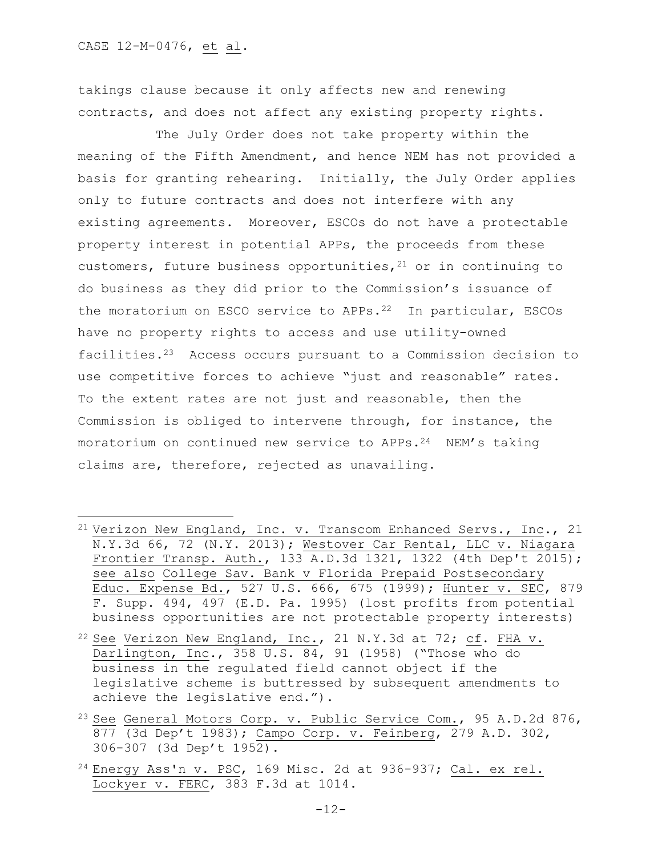$\overline{\phantom{a}}$ 

takings clause because it only affects new and renewing contracts, and does not affect any existing property rights.

The July Order does not take property within the meaning of the Fifth Amendment, and hence NEM has not provided a basis for granting rehearing. Initially, the July Order applies only to future contracts and does not interfere with any existing agreements. Moreover, ESCOs do not have a protectable property interest in potential APPs, the proceeds from these customers, future business opportunities,  $21$  or in continuing to do business as they did prior to the Commission's issuance of the moratorium on ESCO service to APPs.22 In particular, ESCOs have no property rights to access and use utility-owned facilities.23 Access occurs pursuant to a Commission decision to use competitive forces to achieve "just and reasonable" rates. To the extent rates are not just and reasonable, then the Commission is obliged to intervene through, for instance, the moratorium on continued new service to  $APPs.^{24}$  NEM's taking claims are, therefore, rejected as unavailing.

- <sup>21</sup> Verizon New England, Inc. v. Transcom Enhanced Servs., Inc., 21 N.Y.3d 66, 72 (N.Y. 2013); Westover Car Rental, LLC v. Niagara Frontier Transp. Auth., 133 A.D.3d 1321, 1322 (4th Dep't 2015); see also College Sav. Bank v Florida Prepaid Postsecondary Educ. Expense Bd., 527 U.S. 666, 675 (1999); Hunter v. SEC, 879 F. Supp. 494, 497 (E.D. Pa. 1995) (lost profits from potential business opportunities are not protectable property interests)
- $22$  See Verizon New England, Inc., 21 N.Y.3d at 72; cf. FHA v. Darlington, Inc., 358 U.S. 84, 91 (1958) ("Those who do business in the regulated field cannot object if the legislative scheme is buttressed by subsequent amendments to achieve the legislative end.").
- <sup>23</sup> See General Motors Corp. v. Public Service Com., 95 A.D.2d 876, 877 (3d Dep't 1983); Campo Corp. v. Feinberg, 279 A.D. 302, 306-307 (3d Dep't 1952).
- $^{24}$  Energy Ass'n v. PSC, 169 Misc. 2d at 936-937; Cal. ex rel. Lockyer v. FERC, 383 F.3d at 1014.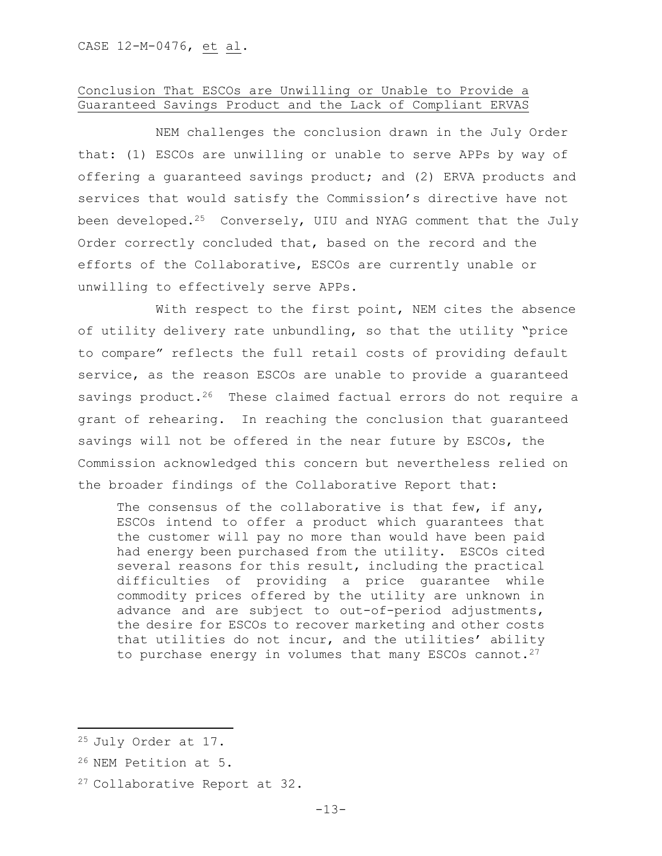# Conclusion That ESCOs are Unwilling or Unable to Provide a Guaranteed Savings Product and the Lack of Compliant ERVAS

NEM challenges the conclusion drawn in the July Order that: (1) ESCOs are unwilling or unable to serve APPs by way of offering a guaranteed savings product; and (2) ERVA products and services that would satisfy the Commission's directive have not been developed.<sup>25</sup> Conversely, UIU and NYAG comment that the July Order correctly concluded that, based on the record and the efforts of the Collaborative, ESCOs are currently unable or unwilling to effectively serve APPs.

With respect to the first point, NEM cites the absence of utility delivery rate unbundling, so that the utility "price to compare" reflects the full retail costs of providing default service, as the reason ESCOs are unable to provide a guaranteed savings product.<sup>26</sup> These claimed factual errors do not require a grant of rehearing. In reaching the conclusion that guaranteed savings will not be offered in the near future by ESCOs, the Commission acknowledged this concern but nevertheless relied on the broader findings of the Collaborative Report that:

The consensus of the collaborative is that few, if any, ESCOs intend to offer a product which guarantees that the customer will pay no more than would have been paid had energy been purchased from the utility. ESCOs cited several reasons for this result, including the practical difficulties of providing a price guarantee while commodity prices offered by the utility are unknown in advance and are subject to out-of-period adjustments, the desire for ESCOs to recover marketing and other costs that utilities do not incur, and the utilities' ability to purchase energy in volumes that many ESCOs cannot. $27$ 

<sup>25</sup> July Order at 17.

<sup>26</sup> NEM Petition at 5.

<sup>27</sup> Collaborative Report at 32.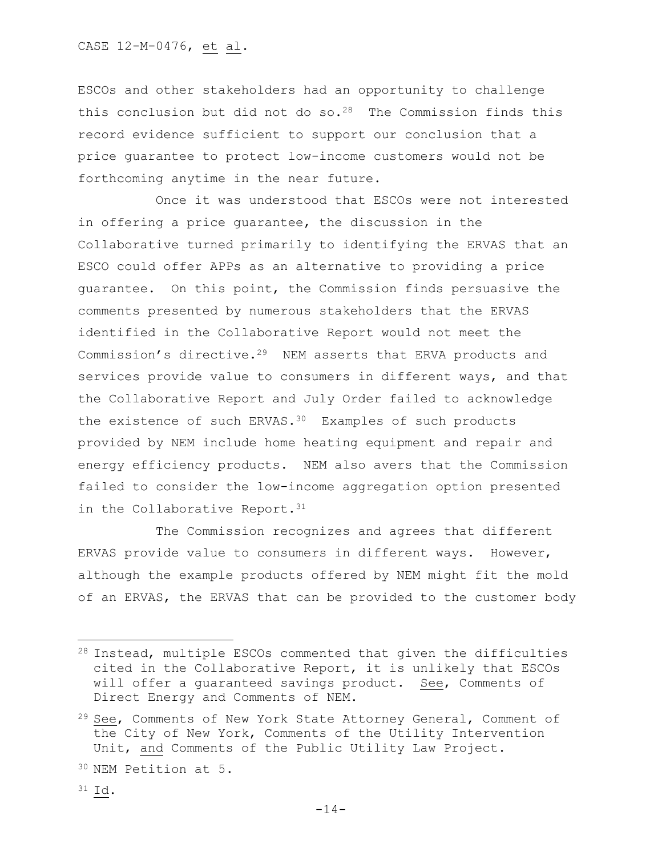ESCOs and other stakeholders had an opportunity to challenge this conclusion but did not do  $so.^{28}$  The Commission finds this record evidence sufficient to support our conclusion that a price guarantee to protect low-income customers would not be forthcoming anytime in the near future.

Once it was understood that ESCOs were not interested in offering a price guarantee, the discussion in the Collaborative turned primarily to identifying the ERVAS that an ESCO could offer APPs as an alternative to providing a price guarantee. On this point, the Commission finds persuasive the comments presented by numerous stakeholders that the ERVAS identified in the Collaborative Report would not meet the Commission's directive.29 NEM asserts that ERVA products and services provide value to consumers in different ways, and that the Collaborative Report and July Order failed to acknowledge the existence of such ERVAS.<sup>30</sup> Examples of such products provided by NEM include home heating equipment and repair and energy efficiency products. NEM also avers that the Commission failed to consider the low-income aggregation option presented in the Collaborative Report.<sup>31</sup>

The Commission recognizes and agrees that different ERVAS provide value to consumers in different ways. However, although the example products offered by NEM might fit the mold of an ERVAS, the ERVAS that can be provided to the customer body

<sup>30</sup> NEM Petition at 5.

 $\overline{a}$ 

<sup>28</sup> Instead, multiple ESCOs commented that given the difficulties cited in the Collaborative Report, it is unlikely that ESCOs will offer a guaranteed savings product. See, Comments of Direct Energy and Comments of NEM.

<sup>&</sup>lt;sup>29</sup> See, Comments of New York State Attorney General, Comment of the City of New York, Comments of the Utility Intervention Unit, and Comments of the Public Utility Law Project.

<sup>31</sup> Id.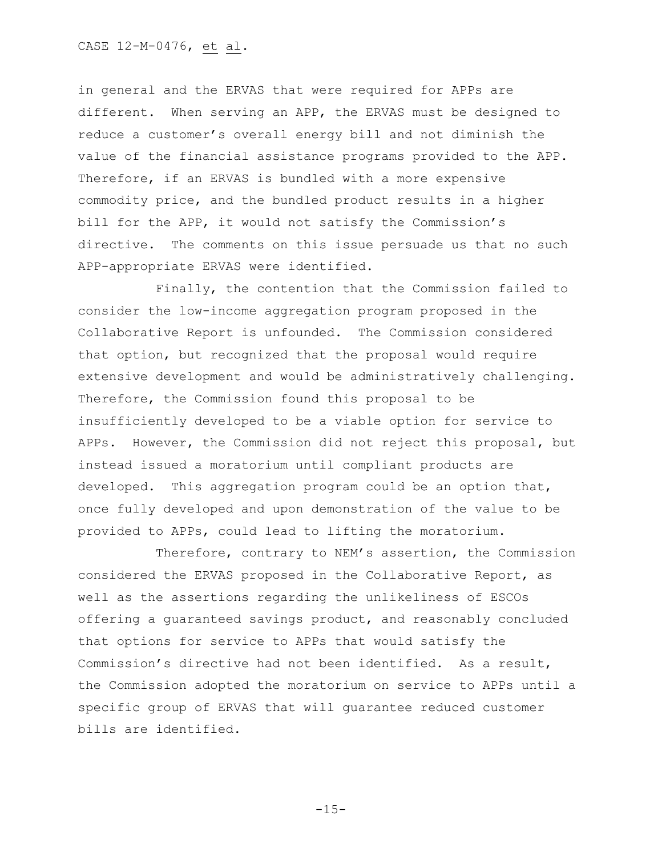in general and the ERVAS that were required for APPs are different. When serving an APP, the ERVAS must be designed to reduce a customer's overall energy bill and not diminish the value of the financial assistance programs provided to the APP. Therefore, if an ERVAS is bundled with a more expensive commodity price, and the bundled product results in a higher bill for the APP, it would not satisfy the Commission's directive. The comments on this issue persuade us that no such APP-appropriate ERVAS were identified.

Finally, the contention that the Commission failed to consider the low-income aggregation program proposed in the Collaborative Report is unfounded. The Commission considered that option, but recognized that the proposal would require extensive development and would be administratively challenging. Therefore, the Commission found this proposal to be insufficiently developed to be a viable option for service to APPs. However, the Commission did not reject this proposal, but instead issued a moratorium until compliant products are developed. This aggregation program could be an option that, once fully developed and upon demonstration of the value to be provided to APPs, could lead to lifting the moratorium.

Therefore, contrary to NEM's assertion, the Commission considered the ERVAS proposed in the Collaborative Report, as well as the assertions regarding the unlikeliness of ESCOs offering a guaranteed savings product, and reasonably concluded that options for service to APPs that would satisfy the Commission's directive had not been identified. As a result, the Commission adopted the moratorium on service to APPs until a specific group of ERVAS that will guarantee reduced customer bills are identified.

 $-15-$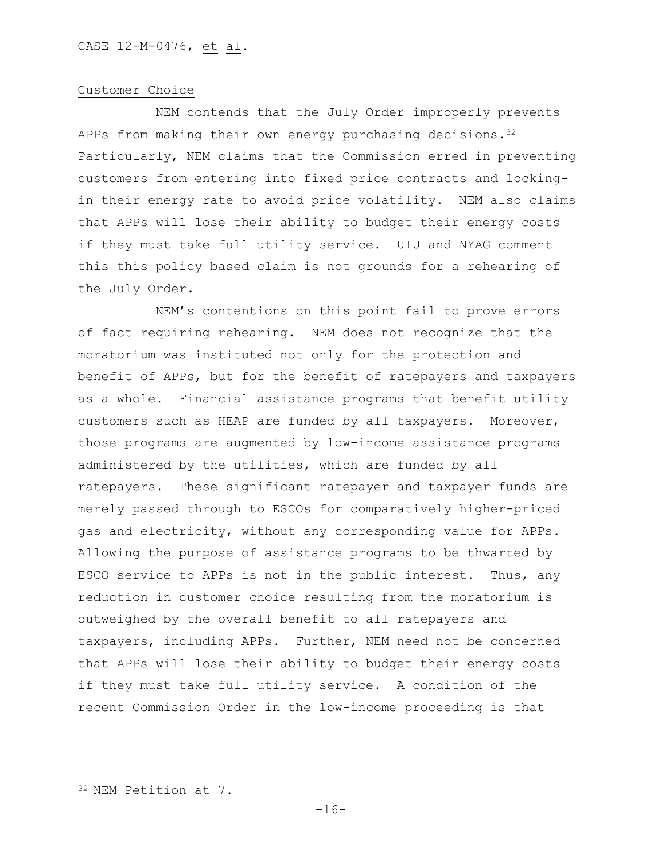#### Customer Choice

NEM contends that the July Order improperly prevents APPs from making their own energy purchasing decisions.  $3^{2}$ Particularly, NEM claims that the Commission erred in preventing customers from entering into fixed price contracts and lockingin their energy rate to avoid price volatility. NEM also claims that APPs will lose their ability to budget their energy costs if they must take full utility service. UIU and NYAG comment this this policy based claim is not grounds for a rehearing of the July Order.

NEM's contentions on this point fail to prove errors of fact requiring rehearing. NEM does not recognize that the moratorium was instituted not only for the protection and benefit of APPs, but for the benefit of ratepayers and taxpayers as a whole. Financial assistance programs that benefit utility customers such as HEAP are funded by all taxpayers. Moreover, those programs are augmented by low-income assistance programs administered by the utilities, which are funded by all ratepayers. These significant ratepayer and taxpayer funds are merely passed through to ESCOs for comparatively higher-priced gas and electricity, without any corresponding value for APPs. Allowing the purpose of assistance programs to be thwarted by ESCO service to APPs is not in the public interest. Thus, any reduction in customer choice resulting from the moratorium is outweighed by the overall benefit to all ratepayers and taxpayers, including APPs. Further, NEM need not be concerned that APPs will lose their ability to budget their energy costs if they must take full utility service. A condition of the recent Commission Order in the low-income proceeding is that

 $\overline{a}$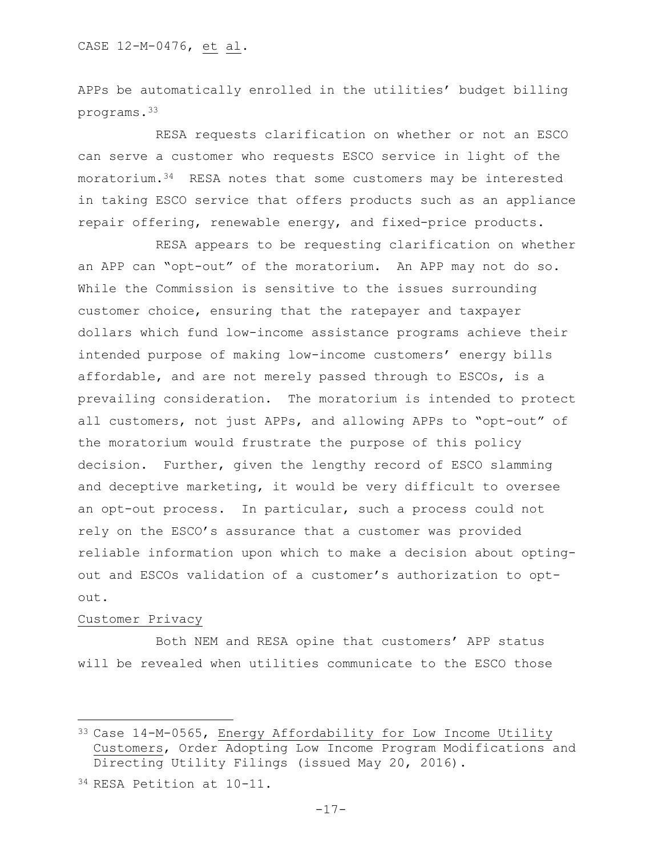APPs be automatically enrolled in the utilities' budget billing programs.<sup>33</sup>

RESA requests clarification on whether or not an ESCO can serve a customer who requests ESCO service in light of the moratorium.34 RESA notes that some customers may be interested in taking ESCO service that offers products such as an appliance repair offering, renewable energy, and fixed-price products.

RESA appears to be requesting clarification on whether an APP can "opt-out" of the moratorium. An APP may not do so. While the Commission is sensitive to the issues surrounding customer choice, ensuring that the ratepayer and taxpayer dollars which fund low-income assistance programs achieve their intended purpose of making low-income customers' energy bills affordable, and are not merely passed through to ESCOs, is a prevailing consideration. The moratorium is intended to protect all customers, not just APPs, and allowing APPs to "opt-out" of the moratorium would frustrate the purpose of this policy decision. Further, given the lengthy record of ESCO slamming and deceptive marketing, it would be very difficult to oversee an opt-out process. In particular, such a process could not rely on the ESCO's assurance that a customer was provided reliable information upon which to make a decision about optingout and ESCOs validation of a customer's authorization to opt- $O<sub>11</sub>$ 

## Customer Privacy

l

Both NEM and RESA opine that customers' APP status will be revealed when utilities communicate to the ESCO those

<sup>33</sup> Case 14-M-0565, Energy Affordability for Low Income Utility Customers, Order Adopting Low Income Program Modifications and Directing Utility Filings (issued May 20, 2016).

<sup>34</sup> RESA Petition at 10-11.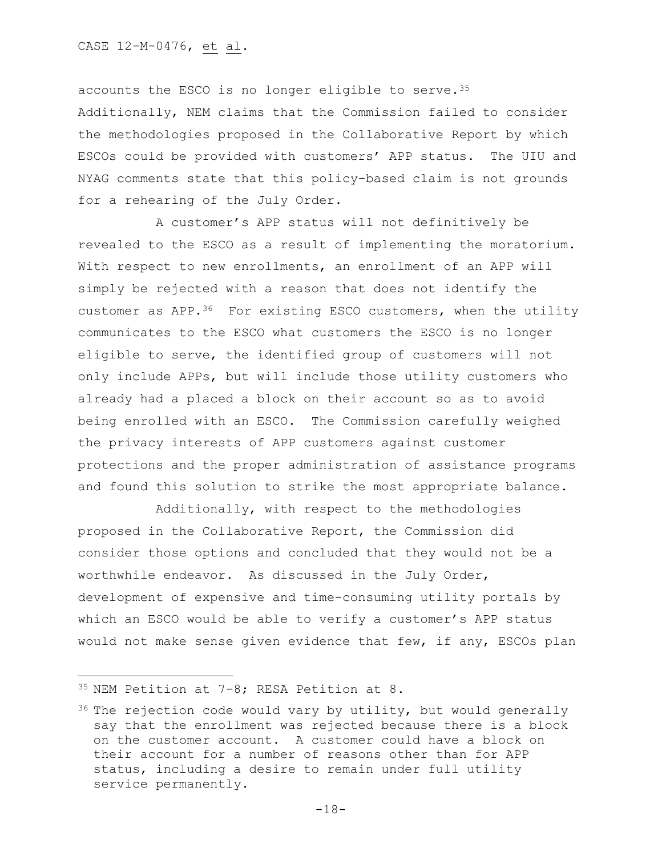accounts the ESCO is no longer eligible to serve.<sup>35</sup> Additionally, NEM claims that the Commission failed to consider the methodologies proposed in the Collaborative Report by which ESCOs could be provided with customers' APP status. The UIU and NYAG comments state that this policy-based claim is not grounds for a rehearing of the July Order.

A customer's APP status will not definitively be revealed to the ESCO as a result of implementing the moratorium. With respect to new enrollments, an enrollment of an APP will simply be rejected with a reason that does not identify the customer as  $APP.$ <sup>36</sup> For existing ESCO customers, when the utility communicates to the ESCO what customers the ESCO is no longer eligible to serve, the identified group of customers will not only include APPs, but will include those utility customers who already had a placed a block on their account so as to avoid being enrolled with an ESCO. The Commission carefully weighed the privacy interests of APP customers against customer protections and the proper administration of assistance programs and found this solution to strike the most appropriate balance.

Additionally, with respect to the methodologies proposed in the Collaborative Report, the Commission did consider those options and concluded that they would not be a worthwhile endeavor. As discussed in the July Order, development of expensive and time-consuming utility portals by which an ESCO would be able to verify a customer's APP status would not make sense given evidence that few, if any, ESCOs plan

<sup>35</sup> NEM Petition at 7-8; RESA Petition at 8.

 $36$  The rejection code would vary by utility, but would generally say that the enrollment was rejected because there is a block on the customer account. A customer could have a block on their account for a number of reasons other than for APP status, including a desire to remain under full utility service permanently.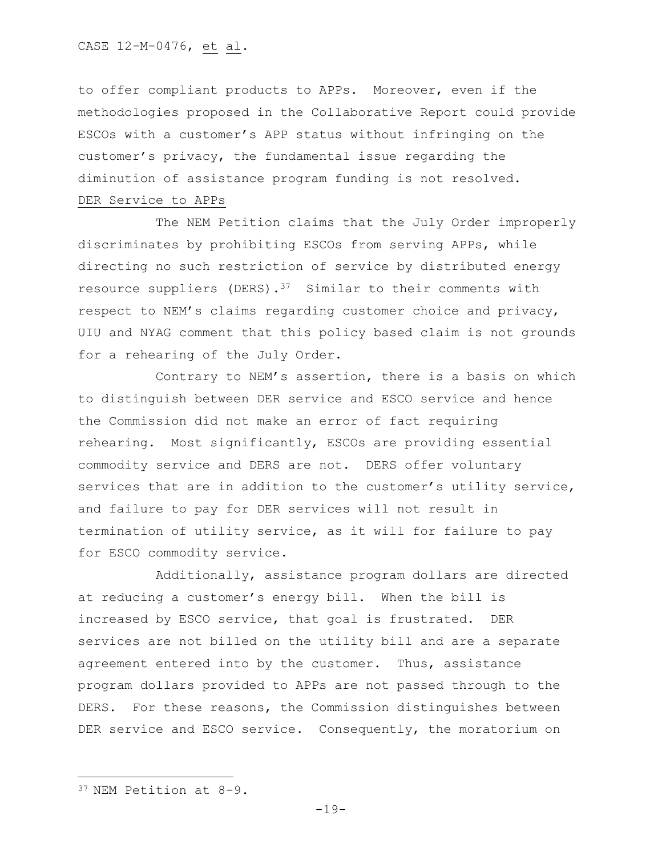to offer compliant products to APPs. Moreover, even if the methodologies proposed in the Collaborative Report could provide ESCOs with a customer's APP status without infringing on the customer's privacy, the fundamental issue regarding the diminution of assistance program funding is not resolved. DER Service to APPs

The NEM Petition claims that the July Order improperly discriminates by prohibiting ESCOs from serving APPs, while directing no such restriction of service by distributed energy resource suppliers (DERS).37 Similar to their comments with respect to NEM's claims regarding customer choice and privacy, UIU and NYAG comment that this policy based claim is not grounds for a rehearing of the July Order.

Contrary to NEM's assertion, there is a basis on which to distinguish between DER service and ESCO service and hence the Commission did not make an error of fact requiring rehearing. Most significantly, ESCOs are providing essential commodity service and DERS are not. DERS offer voluntary services that are in addition to the customer's utility service, and failure to pay for DER services will not result in termination of utility service, as it will for failure to pay for ESCO commodity service.

Additionally, assistance program dollars are directed at reducing a customer's energy bill. When the bill is increased by ESCO service, that goal is frustrated. DER services are not billed on the utility bill and are a separate agreement entered into by the customer. Thus, assistance program dollars provided to APPs are not passed through to the DERS. For these reasons, the Commission distinguishes between DER service and ESCO service. Consequently, the moratorium on

 $\overline{a}$ 

<sup>37</sup> NEM Petition at 8-9.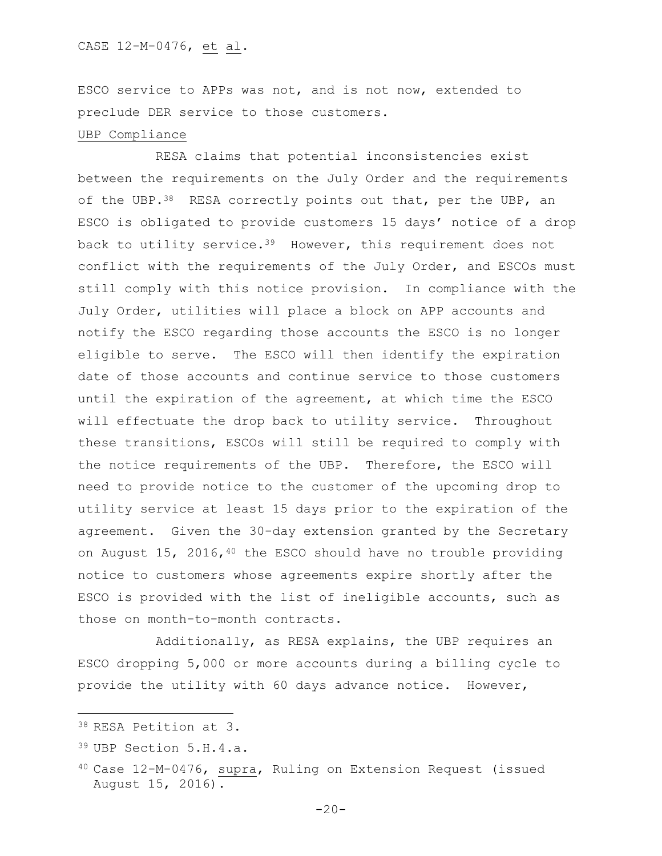ESCO service to APPs was not, and is not now, extended to preclude DER service to those customers.

## UBP Compliance

RESA claims that potential inconsistencies exist between the requirements on the July Order and the requirements of the UBP.<sup>38</sup> RESA correctly points out that, per the UBP, an ESCO is obligated to provide customers 15 days' notice of a drop back to utility service.<sup>39</sup> However, this requirement does not conflict with the requirements of the July Order, and ESCOs must still comply with this notice provision. In compliance with the July Order, utilities will place a block on APP accounts and notify the ESCO regarding those accounts the ESCO is no longer eligible to serve. The ESCO will then identify the expiration date of those accounts and continue service to those customers until the expiration of the agreement, at which time the ESCO will effectuate the drop back to utility service. Throughout these transitions, ESCOs will still be required to comply with the notice requirements of the UBP. Therefore, the ESCO will need to provide notice to the customer of the upcoming drop to utility service at least 15 days prior to the expiration of the agreement. Given the 30-day extension granted by the Secretary on August 15, 2016, 40 the ESCO should have no trouble providing notice to customers whose agreements expire shortly after the ESCO is provided with the list of ineligible accounts, such as those on month-to-month contracts.

Additionally, as RESA explains, the UBP requires an ESCO dropping 5,000 or more accounts during a billing cycle to provide the utility with 60 days advance notice. However,

l

<sup>38</sup> RESA Petition at 3.

<sup>39</sup> UBP Section 5.H.4.a.

<sup>40</sup> Case 12-M-0476, supra, Ruling on Extension Request (issued August 15, 2016).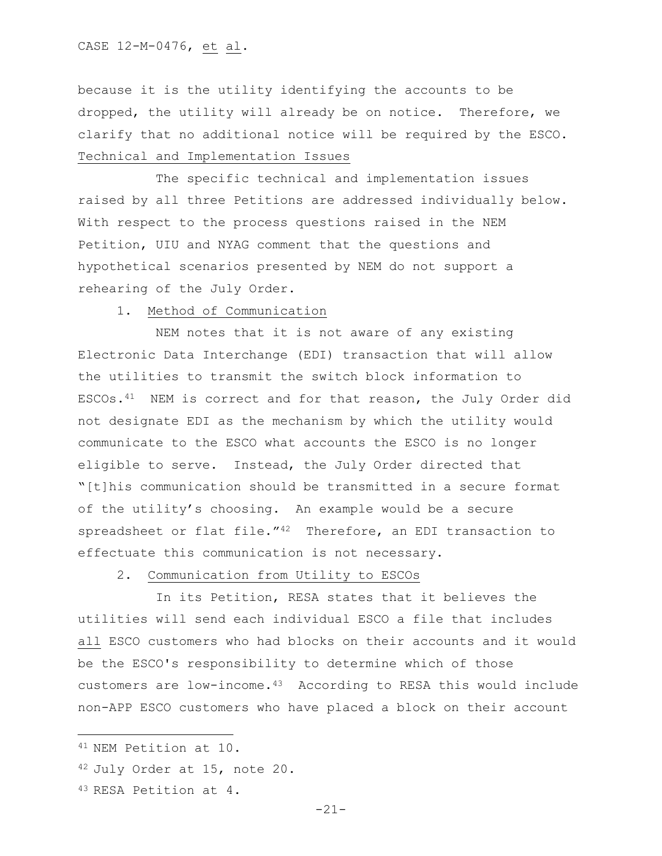because it is the utility identifying the accounts to be dropped, the utility will already be on notice. Therefore, we clarify that no additional notice will be required by the ESCO. Technical and Implementation Issues

The specific technical and implementation issues raised by all three Petitions are addressed individually below. With respect to the process questions raised in the NEM Petition, UIU and NYAG comment that the questions and hypothetical scenarios presented by NEM do not support a rehearing of the July Order.

## 1. Method of Communication

NEM notes that it is not aware of any existing Electronic Data Interchange (EDI) transaction that will allow the utilities to transmit the switch block information to ESCOs.41 NEM is correct and for that reason, the July Order did not designate EDI as the mechanism by which the utility would communicate to the ESCO what accounts the ESCO is no longer eligible to serve. Instead, the July Order directed that "[t]his communication should be transmitted in a secure format of the utility's choosing. An example would be a secure spreadsheet or flat file."<sup>42</sup> Therefore, an EDI transaction to effectuate this communication is not necessary.

2. Communication from Utility to ESCOs

In its Petition, RESA states that it believes the utilities will send each individual ESCO a file that includes all ESCO customers who had blocks on their accounts and it would be the ESCO's responsibility to determine which of those customers are low-income.43 According to RESA this would include non-APP ESCO customers who have placed a block on their account

 $\overline{\phantom{a}}$ 

<sup>43</sup> RESA Petition at 4.

<sup>41</sup> NEM Petition at 10.

<sup>42</sup> July Order at 15, note 20.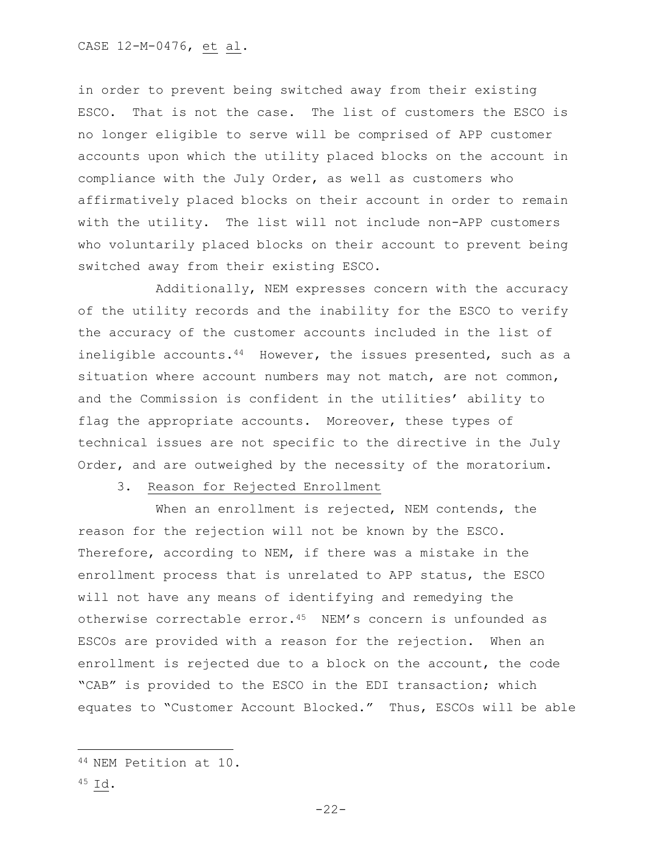in order to prevent being switched away from their existing ESCO. That is not the case. The list of customers the ESCO is no longer eligible to serve will be comprised of APP customer accounts upon which the utility placed blocks on the account in compliance with the July Order, as well as customers who affirmatively placed blocks on their account in order to remain with the utility. The list will not include non-APP customers who voluntarily placed blocks on their account to prevent being switched away from their existing ESCO.

Additionally, NEM expresses concern with the accuracy of the utility records and the inability for the ESCO to verify the accuracy of the customer accounts included in the list of ineligible accounts. $44$  However, the issues presented, such as a situation where account numbers may not match, are not common, and the Commission is confident in the utilities' ability to flag the appropriate accounts. Moreover, these types of technical issues are not specific to the directive in the July Order, and are outweighed by the necessity of the moratorium.

## 3. Reason for Rejected Enrollment

When an enrollment is rejected, NEM contends, the reason for the rejection will not be known by the ESCO. Therefore, according to NEM, if there was a mistake in the enrollment process that is unrelated to APP status, the ESCO will not have any means of identifying and remedying the otherwise correctable error.<sup>45</sup> NEM's concern is unfounded as ESCOs are provided with a reason for the rejection. When an enrollment is rejected due to a block on the account, the code "CAB" is provided to the ESCO in the EDI transaction; which equates to "Customer Account Blocked." Thus, ESCOs will be able

<sup>44</sup> NEM Petition at 10.

<sup>45</sup> Id.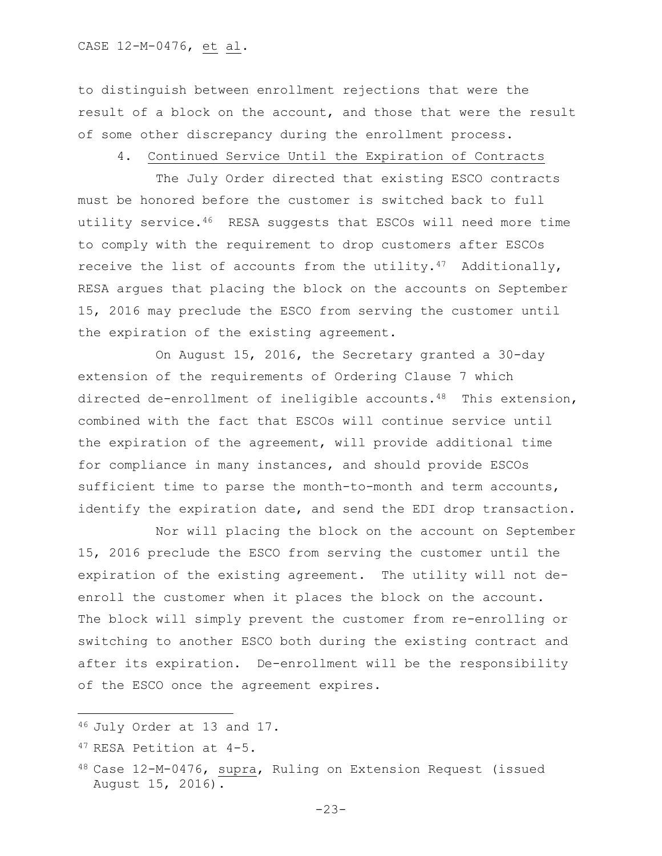to distinguish between enrollment rejections that were the result of a block on the account, and those that were the result of some other discrepancy during the enrollment process.

## 4. Continued Service Until the Expiration of Contracts

The July Order directed that existing ESCO contracts must be honored before the customer is switched back to full utility service.46 RESA suggests that ESCOs will need more time to comply with the requirement to drop customers after ESCOs receive the list of accounts from the utility.<sup>47</sup> Additionally, RESA argues that placing the block on the accounts on September 15, 2016 may preclude the ESCO from serving the customer until the expiration of the existing agreement.

On August 15, 2016, the Secretary granted a 30-day extension of the requirements of Ordering Clause 7 which directed de-enrollment of ineligible accounts.48 This extension, combined with the fact that ESCOs will continue service until the expiration of the agreement, will provide additional time for compliance in many instances, and should provide ESCOs sufficient time to parse the month-to-month and term accounts, identify the expiration date, and send the EDI drop transaction.

Nor will placing the block on the account on September 15, 2016 preclude the ESCO from serving the customer until the expiration of the existing agreement. The utility will not deenroll the customer when it places the block on the account. The block will simply prevent the customer from re-enrolling or switching to another ESCO both during the existing contract and after its expiration. De-enrollment will be the responsibility of the ESCO once the agreement expires.

l

<sup>46</sup> July Order at 13 and 17.

<sup>47</sup> RESA Petition at 4-5.

<sup>48</sup> Case 12-M-0476, supra, Ruling on Extension Request (issued August 15, 2016).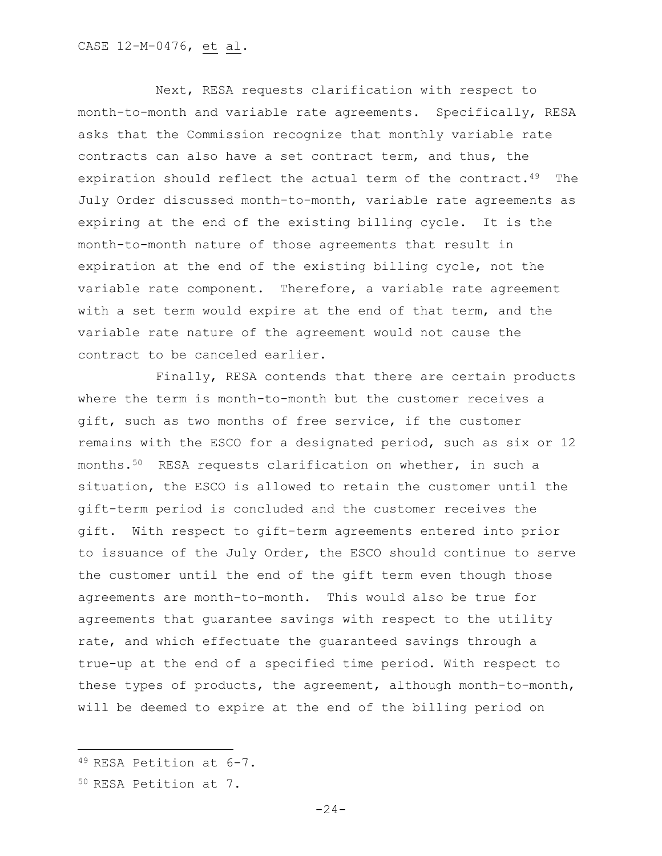Next, RESA requests clarification with respect to month-to-month and variable rate agreements. Specifically, RESA asks that the Commission recognize that monthly variable rate contracts can also have a set contract term, and thus, the expiration should reflect the actual term of the contract.<sup>49</sup> The July Order discussed month-to-month, variable rate agreements as expiring at the end of the existing billing cycle. It is the month-to-month nature of those agreements that result in expiration at the end of the existing billing cycle, not the variable rate component. Therefore, a variable rate agreement with a set term would expire at the end of that term, and the variable rate nature of the agreement would not cause the contract to be canceled earlier.

Finally, RESA contends that there are certain products where the term is month-to-month but the customer receives a gift, such as two months of free service, if the customer remains with the ESCO for a designated period, such as six or 12 months.50 RESA requests clarification on whether, in such a situation, the ESCO is allowed to retain the customer until the gift-term period is concluded and the customer receives the gift. With respect to gift-term agreements entered into prior to issuance of the July Order, the ESCO should continue to serve the customer until the end of the gift term even though those agreements are month-to-month. This would also be true for agreements that guarantee savings with respect to the utility rate, and which effectuate the guaranteed savings through a true-up at the end of a specified time period. With respect to these types of products, the agreement, although month-to-month, will be deemed to expire at the end of the billing period on

<sup>49</sup> RESA Petition at 6-7.

<sup>50</sup> RESA Petition at 7.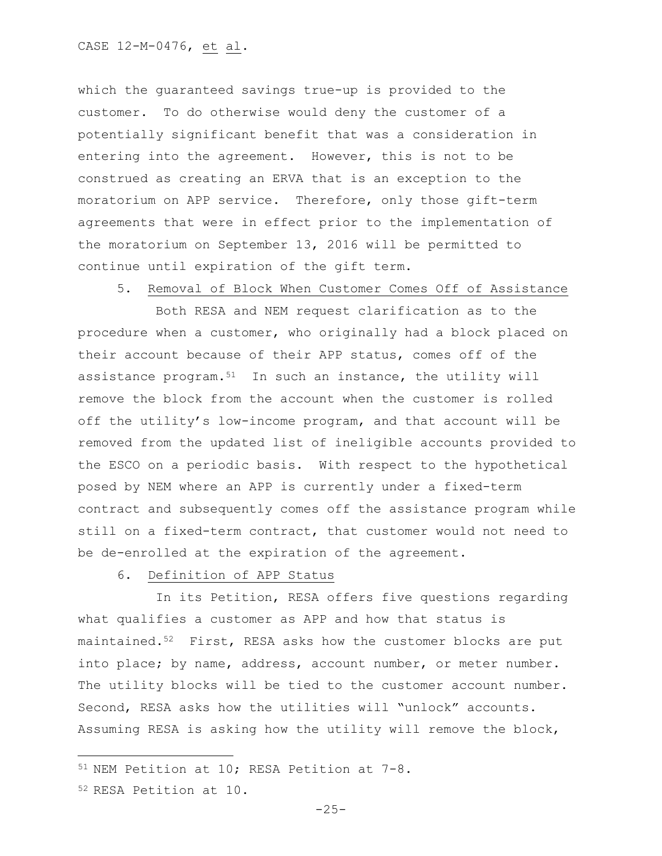which the guaranteed savings true-up is provided to the customer. To do otherwise would deny the customer of a potentially significant benefit that was a consideration in entering into the agreement. However, this is not to be construed as creating an ERVA that is an exception to the moratorium on APP service. Therefore, only those gift-term agreements that were in effect prior to the implementation of the moratorium on September 13, 2016 will be permitted to continue until expiration of the gift term.

5. Removal of Block When Customer Comes Off of Assistance

Both RESA and NEM request clarification as to the procedure when a customer, who originally had a block placed on their account because of their APP status, comes off of the assistance program.<sup>51</sup> In such an instance, the utility will remove the block from the account when the customer is rolled off the utility's low-income program, and that account will be removed from the updated list of ineligible accounts provided to the ESCO on a periodic basis. With respect to the hypothetical posed by NEM where an APP is currently under a fixed-term contract and subsequently comes off the assistance program while still on a fixed-term contract, that customer would not need to be de-enrolled at the expiration of the agreement.

6. Definition of APP Status

In its Petition, RESA offers five questions regarding what qualifies a customer as APP and how that status is maintained.<sup>52</sup> First, RESA asks how the customer blocks are put into place; by name, address, account number, or meter number. The utility blocks will be tied to the customer account number. Second, RESA asks how the utilities will "unlock" accounts. Assuming RESA is asking how the utility will remove the block,

<sup>52</sup> RESA Petition at 10.

<sup>51</sup> NEM Petition at 10; RESA Petition at 7-8.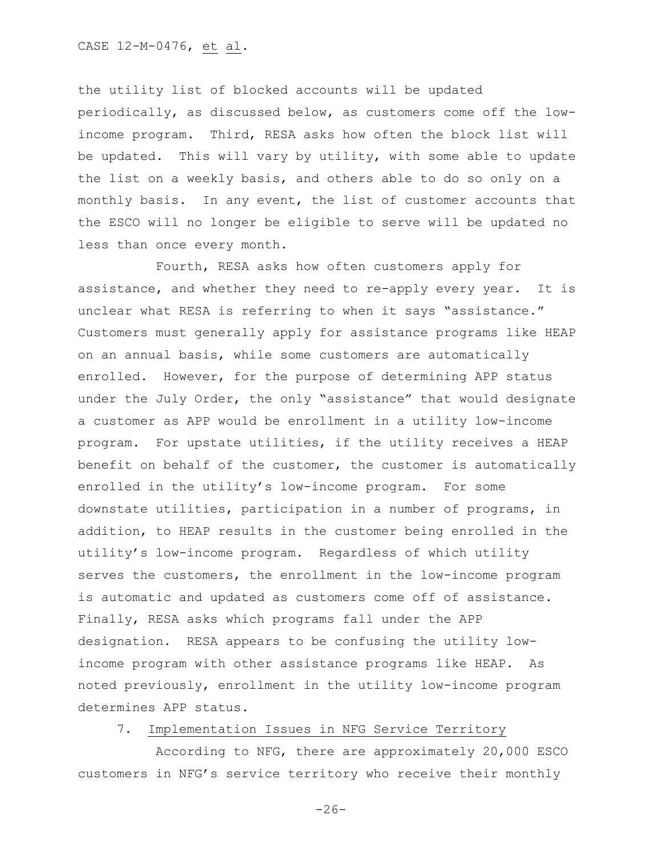the utility list of blocked accounts will be updated periodically, as discussed below, as customers come off the lowincome program. Third, RESA asks how often the block list will be updated. This will vary by utility, with some able to update the list on a weekly basis, and others able to do so only on a monthly basis. In any event, the list of customer accounts that the ESCO will no longer be eligible to serve will be updated no less than once every month.

Fourth, RESA asks how often customers apply for assistance, and whether they need to re-apply every year. It is unclear what RESA is referring to when it says "assistance." Customers must generally apply for assistance programs like HEAP on an annual basis, while some customers are automatically enrolled. However, for the purpose of determining APP status under the July Order, the only "assistance" that would designate a customer as APP would be enrollment in a utility low-income program. For upstate utilities, if the utility receives a HEAP benefit on behalf of the customer, the customer is automatically enrolled in the utility's low-income program. For some downstate utilities, participation in a number of programs, in addition, to HEAP results in the customer being enrolled in the utility's low-income program. Regardless of which utility serves the customers, the enrollment in the low-income program is automatic and updated as customers come off of assistance. Finally, RESA asks which programs fall under the APP designation. RESA appears to be confusing the utility lowincome program with other assistance programs like HEAP. As noted previously, enrollment in the utility low-income program determines APP status.

## 7. Implementation Issues in NFG Service Territory

According to NFG, there are approximately 20,000 ESCO customers in NFG's service territory who receive their monthly

 $-26-$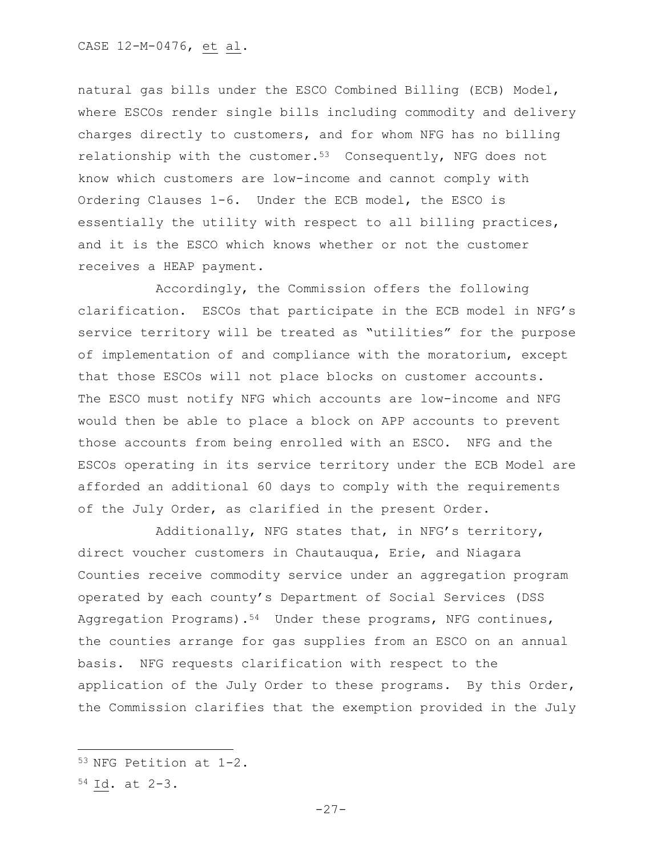## CASE 12-M-0476, et al.

natural gas bills under the ESCO Combined Billing (ECB) Model, where ESCOs render single bills including commodity and delivery charges directly to customers, and for whom NFG has no billing relationship with the customer. $53$  Consequently, NFG does not know which customers are low-income and cannot comply with Ordering Clauses 1-6. Under the ECB model, the ESCO is essentially the utility with respect to all billing practices, and it is the ESCO which knows whether or not the customer receives a HEAP payment.

Accordingly, the Commission offers the following clarification. ESCOs that participate in the ECB model in NFG's service territory will be treated as "utilities" for the purpose of implementation of and compliance with the moratorium, except that those ESCOs will not place blocks on customer accounts. The ESCO must notify NFG which accounts are low-income and NFG would then be able to place a block on APP accounts to prevent those accounts from being enrolled with an ESCO. NFG and the ESCOs operating in its service territory under the ECB Model are afforded an additional 60 days to comply with the requirements of the July Order, as clarified in the present Order.

Additionally, NFG states that, in NFG's territory, direct voucher customers in Chautauqua, Erie, and Niagara Counties receive commodity service under an aggregation program operated by each county's Department of Social Services (DSS Aggregation Programs).<sup>54</sup> Under these programs, NFG continues, the counties arrange for gas supplies from an ESCO on an annual basis. NFG requests clarification with respect to the application of the July Order to these programs. By this Order, the Commission clarifies that the exemption provided in the July

<sup>53</sup> NFG Petition at 1-2.

<sup>54</sup> Id. at 2-3.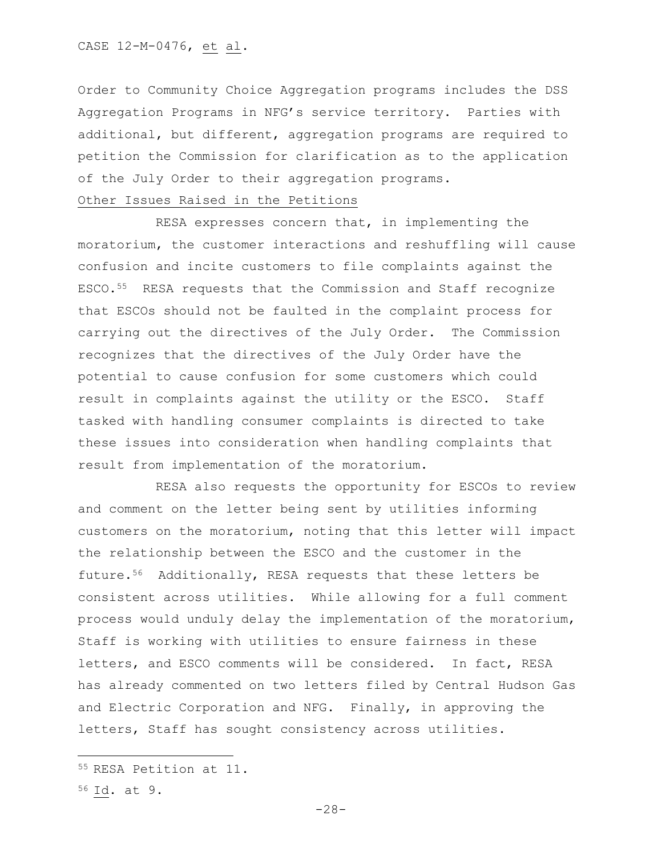Order to Community Choice Aggregation programs includes the DSS Aggregation Programs in NFG's service territory. Parties with additional, but different, aggregation programs are required to petition the Commission for clarification as to the application of the July Order to their aggregation programs.

## Other Issues Raised in the Petitions

RESA expresses concern that, in implementing the moratorium, the customer interactions and reshuffling will cause confusion and incite customers to file complaints against the ESCO.55 RESA requests that the Commission and Staff recognize that ESCOs should not be faulted in the complaint process for carrying out the directives of the July Order. The Commission recognizes that the directives of the July Order have the potential to cause confusion for some customers which could result in complaints against the utility or the ESCO. Staff tasked with handling consumer complaints is directed to take these issues into consideration when handling complaints that result from implementation of the moratorium.

RESA also requests the opportunity for ESCOs to review and comment on the letter being sent by utilities informing customers on the moratorium, noting that this letter will impact the relationship between the ESCO and the customer in the future.56 Additionally, RESA requests that these letters be consistent across utilities. While allowing for a full comment process would unduly delay the implementation of the moratorium, Staff is working with utilities to ensure fairness in these letters, and ESCO comments will be considered. In fact, RESA has already commented on two letters filed by Central Hudson Gas and Electric Corporation and NFG. Finally, in approving the letters, Staff has sought consistency across utilities.

<sup>55</sup> RESA Petition at 11.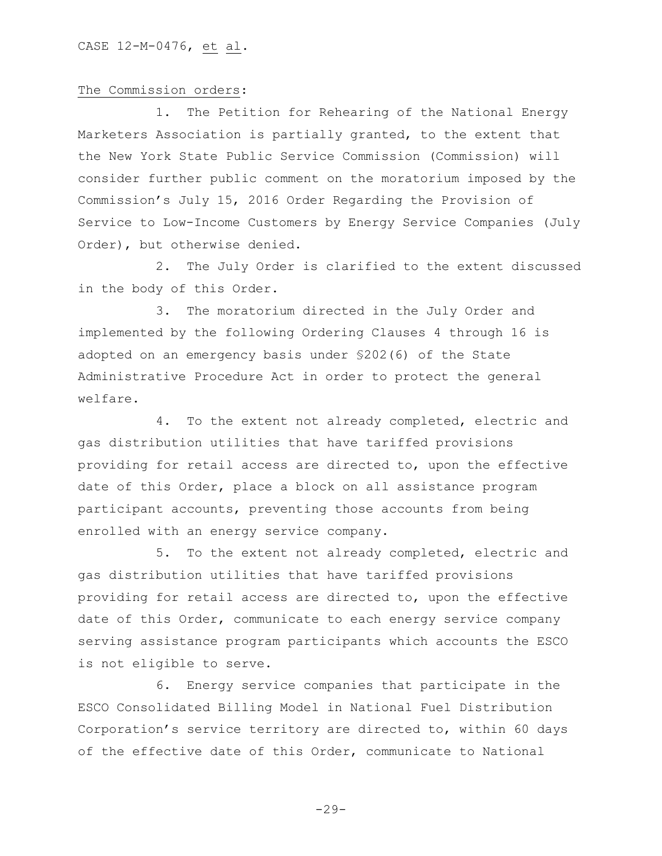## The Commission orders:

1. The Petition for Rehearing of the National Energy Marketers Association is partially granted, to the extent that the New York State Public Service Commission (Commission) will consider further public comment on the moratorium imposed by the Commission's July 15, 2016 Order Regarding the Provision of Service to Low-Income Customers by Energy Service Companies (July Order), but otherwise denied.

2. The July Order is clarified to the extent discussed in the body of this Order.

3. The moratorium directed in the July Order and implemented by the following Ordering Clauses 4 through 16 is adopted on an emergency basis under §202(6) of the State Administrative Procedure Act in order to protect the general welfare.

4. To the extent not already completed, electric and gas distribution utilities that have tariffed provisions providing for retail access are directed to, upon the effective date of this Order, place a block on all assistance program participant accounts, preventing those accounts from being enrolled with an energy service company.

5. To the extent not already completed, electric and gas distribution utilities that have tariffed provisions providing for retail access are directed to, upon the effective date of this Order, communicate to each energy service company serving assistance program participants which accounts the ESCO is not eligible to serve.

6. Energy service companies that participate in the ESCO Consolidated Billing Model in National Fuel Distribution Corporation's service territory are directed to, within 60 days of the effective date of this Order, communicate to National

 $-29-$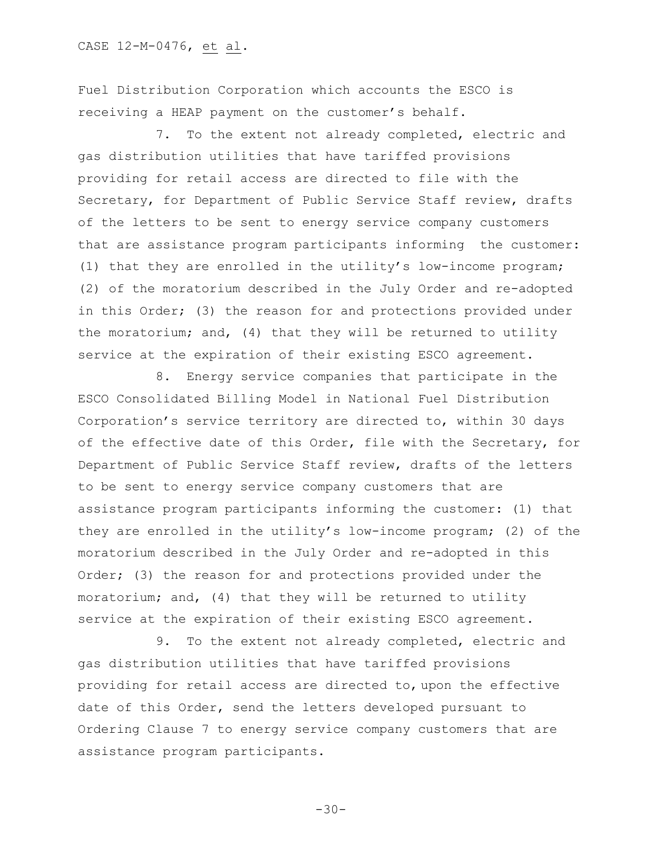Fuel Distribution Corporation which accounts the ESCO is receiving a HEAP payment on the customer's behalf.

7. To the extent not already completed, electric and gas distribution utilities that have tariffed provisions providing for retail access are directed to file with the Secretary, for Department of Public Service Staff review, drafts of the letters to be sent to energy service company customers that are assistance program participants informing the customer: (1) that they are enrolled in the utility's low-income program; (2) of the moratorium described in the July Order and re-adopted in this Order; (3) the reason for and protections provided under the moratorium; and, (4) that they will be returned to utility service at the expiration of their existing ESCO agreement.

8. Energy service companies that participate in the ESCO Consolidated Billing Model in National Fuel Distribution Corporation's service territory are directed to, within 30 days of the effective date of this Order, file with the Secretary, for Department of Public Service Staff review, drafts of the letters to be sent to energy service company customers that are assistance program participants informing the customer: (1) that they are enrolled in the utility's low-income program; (2) of the moratorium described in the July Order and re-adopted in this Order; (3) the reason for and protections provided under the moratorium; and, (4) that they will be returned to utility service at the expiration of their existing ESCO agreement.

9. To the extent not already completed, electric and gas distribution utilities that have tariffed provisions providing for retail access are directed to, upon the effective date of this Order, send the letters developed pursuant to Ordering Clause 7 to energy service company customers that are assistance program participants.

 $-30-$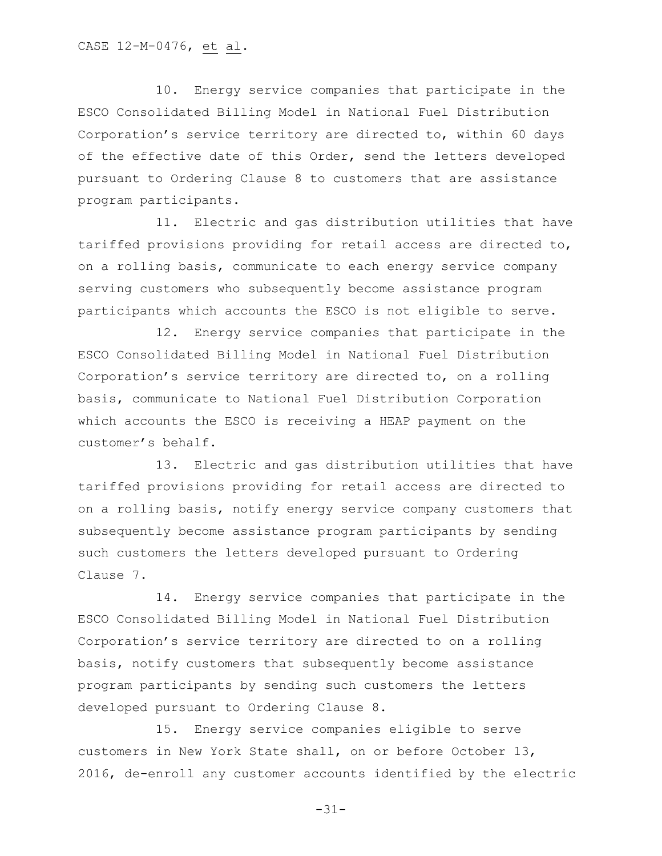10. Energy service companies that participate in the ESCO Consolidated Billing Model in National Fuel Distribution Corporation's service territory are directed to, within 60 days of the effective date of this Order, send the letters developed pursuant to Ordering Clause 8 to customers that are assistance program participants.

11. Electric and gas distribution utilities that have tariffed provisions providing for retail access are directed to, on a rolling basis, communicate to each energy service company serving customers who subsequently become assistance program participants which accounts the ESCO is not eligible to serve.

12. Energy service companies that participate in the ESCO Consolidated Billing Model in National Fuel Distribution Corporation's service territory are directed to, on a rolling basis, communicate to National Fuel Distribution Corporation which accounts the ESCO is receiving a HEAP payment on the customer's behalf.

13. Electric and gas distribution utilities that have tariffed provisions providing for retail access are directed to on a rolling basis, notify energy service company customers that subsequently become assistance program participants by sending such customers the letters developed pursuant to Ordering Clause 7.

14. Energy service companies that participate in the ESCO Consolidated Billing Model in National Fuel Distribution Corporation's service territory are directed to on a rolling basis, notify customers that subsequently become assistance program participants by sending such customers the letters developed pursuant to Ordering Clause 8.

15. Energy service companies eligible to serve customers in New York State shall, on or before October 13, 2016, de-enroll any customer accounts identified by the electric

-31-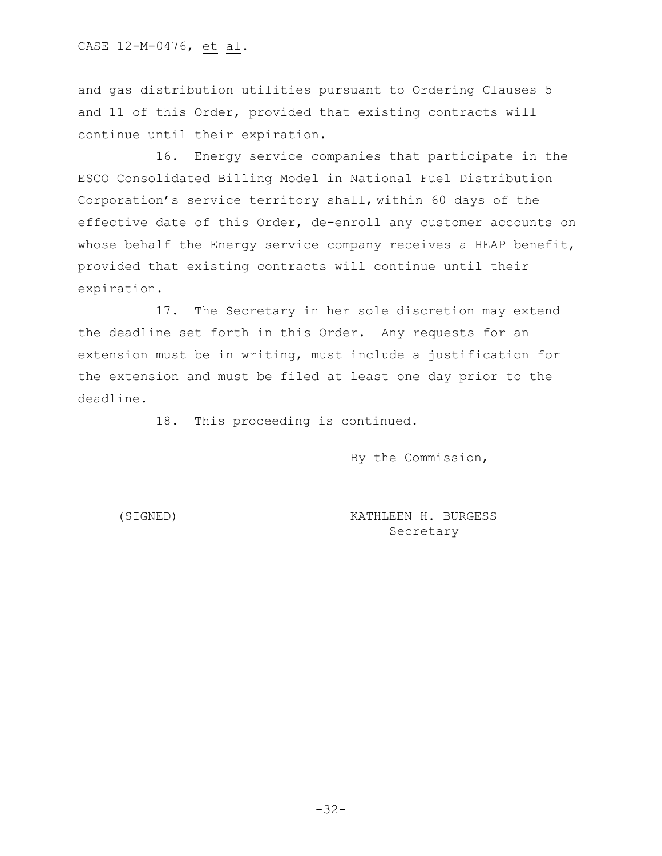and gas distribution utilities pursuant to Ordering Clauses 5 and 11 of this Order, provided that existing contracts will continue until their expiration.

16. Energy service companies that participate in the ESCO Consolidated Billing Model in National Fuel Distribution Corporation's service territory shall, within 60 days of the effective date of this Order, de-enroll any customer accounts on whose behalf the Energy service company receives a HEAP benefit, provided that existing contracts will continue until their expiration.

17. The Secretary in her sole discretion may extend the deadline set forth in this Order. Any requests for an extension must be in writing, must include a justification for the extension and must be filed at least one day prior to the deadline.

18. This proceeding is continued.

By the Commission,

(SIGNED) KATHLEEN H. BURGESS Secretary